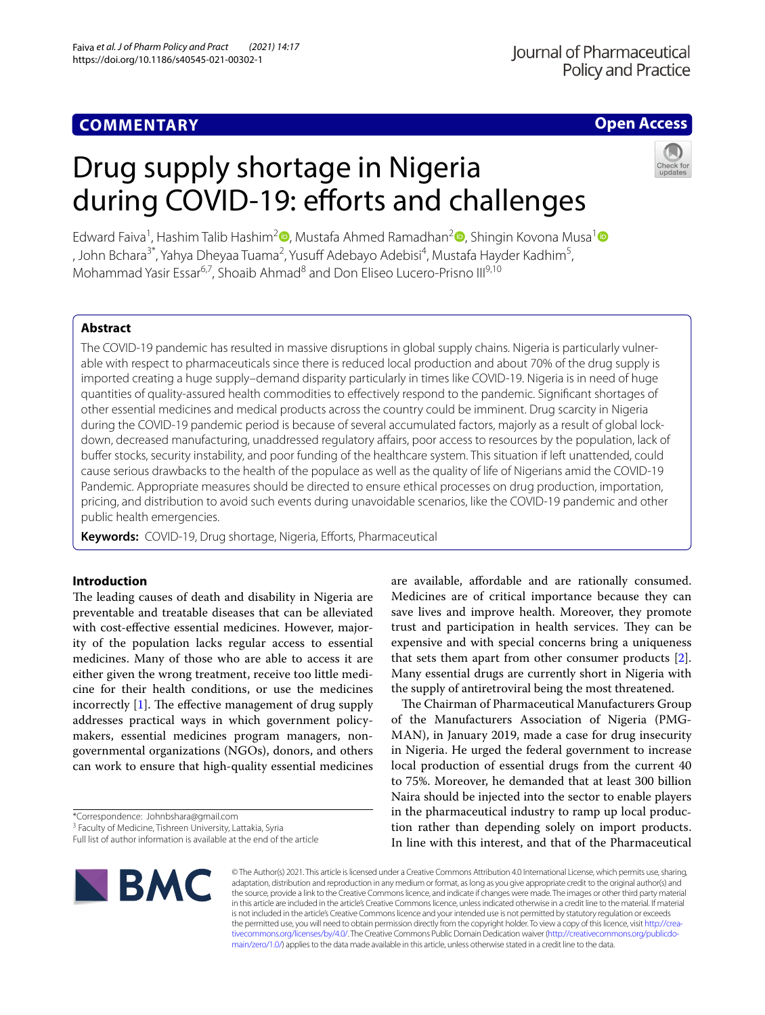# **COMMENTARY**

# **Open Access**

# Drug supply shortage in Nigeria during COVID-19: efforts and challenges



Edward Faiva<sup>1</sup>[,](http://orcid.org/0000-0001-6155-7302) Hashim Talib Hashim<sup>2</sup> [,](http://orcid.org/0000-0002-5956-8157) Mustafa Ahmed Ramadhan<sup>2</sup> , Shingin Kovona Musa<sup>[1](http://orcid.org/0000-0002-1229-3459)</sup> , John Bchara<sup>3\*</sup>, Yahya Dheyaa Tuama<sup>2</sup>, Yusuff Adebayo Adebisi<sup>4</sup>, Mustafa Hayder Kadhim<sup>5</sup>, Mohammad Yasir Essar<sup>6,7</sup>, Shoaib Ahmad<sup>8</sup> and Don Eliseo Lucero-Prisno III<sup>9,10</sup>

# **Abstract**

The COVID-19 pandemic has resulted in massive disruptions in global supply chains. Nigeria is particularly vulnerable with respect to pharmaceuticals since there is reduced local production and about 70% of the drug supply is imported creating a huge supply–demand disparity particularly in times like COVID-19. Nigeria is in need of huge quantities of quality-assured health commodities to efectively respond to the pandemic. Signifcant shortages of other essential medicines and medical products across the country could be imminent. Drug scarcity in Nigeria during the COVID-19 pandemic period is because of several accumulated factors, majorly as a result of global lockdown, decreased manufacturing, unaddressed regulatory afairs, poor access to resources by the population, lack of bufer stocks, security instability, and poor funding of the healthcare system. This situation if left unattended, could cause serious drawbacks to the health of the populace as well as the quality of life of Nigerians amid the COVID-19 Pandemic. Appropriate measures should be directed to ensure ethical processes on drug production, importation, pricing, and distribution to avoid such events during unavoidable scenarios, like the COVID-19 pandemic and other public health emergencies.

**Keywords:** COVID-19, Drug shortage, Nigeria, Eforts, Pharmaceutical

# **Introduction**

The leading causes of death and disability in Nigeria are preventable and treatable diseases that can be alleviated with cost-efective essential medicines. However, majority of the population lacks regular access to essential medicines. Many of those who are able to access it are either given the wrong treatment, receive too little medicine for their health conditions, or use the medicines incorrectly  $[1]$ . The effective management of drug supply addresses practical ways in which government policymakers, essential medicines program managers, nongovernmental organizations (NGOs), donors, and others can work to ensure that high-quality essential medicines

\*Correspondence: Johnbshara@gmail.com

are available, afordable and are rationally consumed. Medicines are of critical importance because they can save lives and improve health. Moreover, they promote trust and participation in health services. They can be expensive and with special concerns bring a uniqueness that sets them apart from other consumer products [\[2](#page-2-1)]. Many essential drugs are currently short in Nigeria with the supply of antiretroviral being the most threatened.

The Chairman of Pharmaceutical Manufacturers Group of the Manufacturers Association of Nigeria (PMG-MAN), in January 2019, made a case for drug insecurity in Nigeria. He urged the federal government to increase local production of essential drugs from the current 40 to 75%. Moreover, he demanded that at least 300 billion Naira should be injected into the sector to enable players in the pharmaceutical industry to ramp up local production rather than depending solely on import products. In line with this interest, and that of the Pharmaceutical



© The Author(s) 2021. This article is licensed under a Creative Commons Attribution 4.0 International License, which permits use, sharing, adaptation, distribution and reproduction in any medium or format, as long as you give appropriate credit to the original author(s) and the source, provide a link to the Creative Commons licence, and indicate if changes were made. The images or other third party material in this article are included in the article's Creative Commons licence, unless indicated otherwise in a credit line to the material. If material is not included in the article's Creative Commons licence and your intended use is not permitted by statutory regulation or exceeds the permitted use, you will need to obtain permission directly from the copyright holder. To view a copy of this licence, visit http://crea[tivecommons.org/licenses/by/4.0/.](http://creativecommons.org/licenses/by/4.0/) The Creative Commons Public Domain Dedication waiver (http://creativecommons.org/publicdo[main/zero/1.0/\)](http://creativecommons.org/publicdomain/zero/1.0/) applies to the data made available in this article, unless otherwise stated in a credit line to the data.

<sup>&</sup>lt;sup>3</sup> Faculty of Medicine, Tishreen University, Lattakia, Syria

Full list of author information is available at the end of the article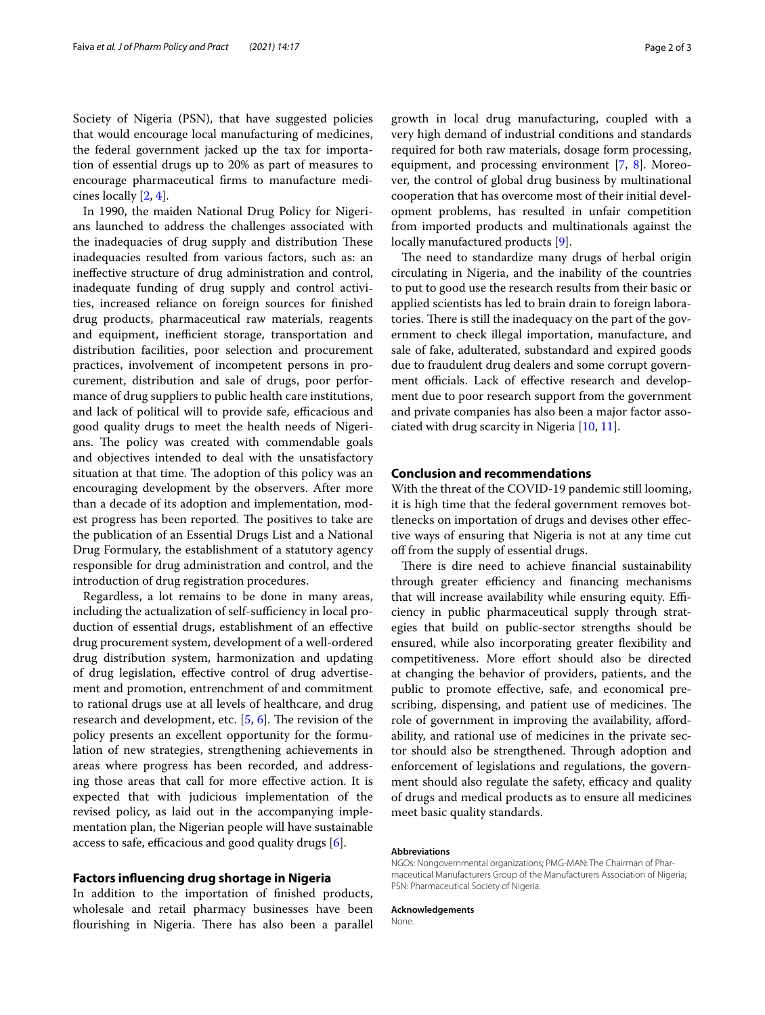Society of Nigeria (PSN), that have suggested policies that would encourage local manufacturing of medicines, the federal government jacked up the tax for importation of essential drugs up to 20% as part of measures to encourage pharmaceutical frms to manufacture medicines locally [[2,](#page-2-1) [4](#page-2-2)].

In 1990, the maiden National Drug Policy for Nigerians launched to address the challenges associated with the inadequacies of drug supply and distribution These inadequacies resulted from various factors, such as: an inefective structure of drug administration and control, inadequate funding of drug supply and control activities, increased reliance on foreign sources for fnished drug products, pharmaceutical raw materials, reagents and equipment, inefficient storage, transportation and distribution facilities, poor selection and procurement practices, involvement of incompetent persons in procurement, distribution and sale of drugs, poor performance of drug suppliers to public health care institutions, and lack of political will to provide safe, efficacious and good quality drugs to meet the health needs of Nigerians. The policy was created with commendable goals and objectives intended to deal with the unsatisfactory situation at that time. The adoption of this policy was an encouraging development by the observers. After more than a decade of its adoption and implementation, modest progress has been reported. The positives to take are the publication of an Essential Drugs List and a National Drug Formulary, the establishment of a statutory agency responsible for drug administration and control, and the introduction of drug registration procedures.

Regardless, a lot remains to be done in many areas, including the actualization of self-sufficiency in local production of essential drugs, establishment of an efective drug procurement system, development of a well-ordered drug distribution system, harmonization and updating of drug legislation, efective control of drug advertisement and promotion, entrenchment of and commitment to rational drugs use at all levels of healthcare, and drug research and development, etc.  $[5, 6]$  $[5, 6]$  $[5, 6]$  $[5, 6]$ . The revision of the policy presents an excellent opportunity for the formulation of new strategies, strengthening achievements in areas where progress has been recorded, and addressing those areas that call for more efective action. It is expected that with judicious implementation of the revised policy, as laid out in the accompanying implementation plan, the Nigerian people will have sustainable access to safe, efficacious and good quality drugs  $[6]$  $[6]$  $[6]$ .

## **Factors infuencing drug shortage in Nigeria**

In addition to the importation of fnished products, wholesale and retail pharmacy businesses have been flourishing in Nigeria. There has also been a parallel growth in local drug manufacturing, coupled with a very high demand of industrial conditions and standards required for both raw materials, dosage form processing, equipment, and processing environment  $[7, 8]$  $[7, 8]$  $[7, 8]$  $[7, 8]$ . Moreover, the control of global drug business by multinational cooperation that has overcome most of their initial development problems, has resulted in unfair competition from imported products and multinationals against the locally manufactured products [\[9](#page-2-7)].

The need to standardize many drugs of herbal origin circulating in Nigeria, and the inability of the countries to put to good use the research results from their basic or applied scientists has led to brain drain to foreign laboratories. There is still the inadequacy on the part of the government to check illegal importation, manufacture, and sale of fake, adulterated, substandard and expired goods due to fraudulent drug dealers and some corrupt government officials. Lack of effective research and development due to poor research support from the government and private companies has also been a major factor associated with drug scarcity in Nigeria [\[10](#page-2-8), [11\]](#page-2-9).

## **Conclusion and recommendations**

With the threat of the COVID-19 pandemic still looming, it is high time that the federal government removes bottlenecks on importation of drugs and devises other efective ways of ensuring that Nigeria is not at any time cut off from the supply of essential drugs.

There is dire need to achieve financial sustainability through greater efficiency and financing mechanisms that will increase availability while ensuring equity. Efficiency in public pharmaceutical supply through strategies that build on public-sector strengths should be ensured, while also incorporating greater fexibility and competitiveness. More effort should also be directed at changing the behavior of providers, patients, and the public to promote efective, safe, and economical prescribing, dispensing, and patient use of medicines. The role of government in improving the availability, afordability, and rational use of medicines in the private sector should also be strengthened. Through adoption and enforcement of legislations and regulations, the government should also regulate the safety, efficacy and quality of drugs and medical products as to ensure all medicines meet basic quality standards.

#### **Abbreviations**

NGOs: Nongovernmental organizations; PMG-MAN: The Chairman of Phar‑ maceutical Manufacturers Group of the Manufacturers Association of Nigeria; PSN: Pharmaceutical Society of Nigeria.

#### **Acknowledgements**

None.